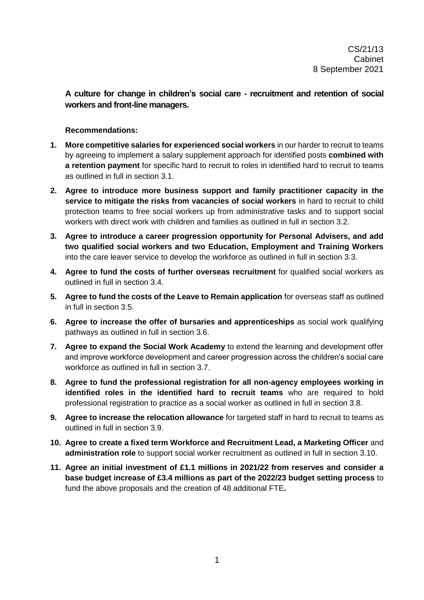**A culture for change in children's social care - recruitment and retention of social workers and front-line managers.**

#### **Recommendations:**

- **1. More competitive salaries for experienced social workers** in our harder to recruit to teams by agreeing to implement a salary supplement approach for identified posts **combined with a retention payment** for specific hard to recruit to roles in identified hard to recruit to teams as outlined in full in section 3.1.
- **2. Agree to introduce more business support and family practitioner capacity in the service to mitigate the risks from vacancies of social workers** in hard to recruit to child protection teams to free social workers up from administrative tasks and to support social workers with direct work with children and families as outlined in full in section 3.2.
- **3. Agree to introduce a career progression opportunity for Personal Advisers, and add two qualified social workers and two Education, Employment and Training Workers**  into the care leaver service to develop the workforce as outlined in full in section 3.3.
- **4. Agree to fund the costs of further overseas recruitment** for qualified social workers as outlined in full in section 3.4.
- **5. Agree to fund the costs of the Leave to Remain application** for overseas staff as outlined in full in section 3.5.
- **6. Agree to increase the offer of bursaries and apprenticeships** as social work qualifying pathways as outlined in full in section 3.6.
- **7. Agree to expand the Social Work Academy** to extend the learning and development offer and improve workforce development and career progression across the children's social care workforce as outlined in full in section 3.7.
- **8. Agree to fund the professional registration for all non-agency employees working in identified roles in the identified hard to recruit teams** who are required to hold professional registration to practice as a social worker as outlined in full in section 3.8.
- **9. Agree to increase the relocation allowance** for targeted staff in hard to recruit to teams as outlined in full in section 3.9.
- **10. Agree to create a fixed term Workforce and Recruitment Lead, a Marketing Officer** and **administration role** to support social worker recruitment as outlined in full in section 3.10.
- **11. Agree an initial investment of £1.1 millions in 2021/22 from reserves and consider a base budget increase of £3.4 millions as part of the 2022/23 budget setting process** to fund the above proposals and the creation of 48 additional FTE**.**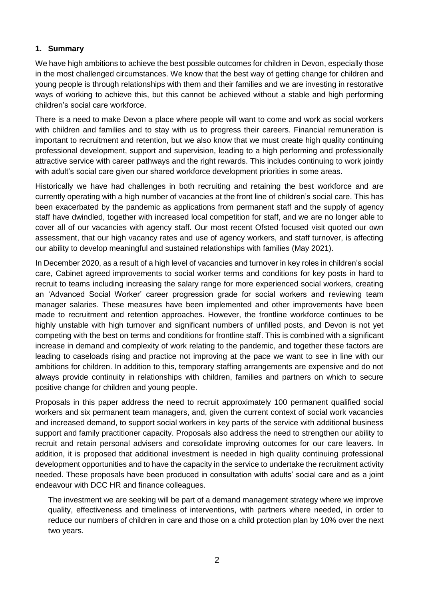#### **1. Summary**

We have high ambitions to achieve the best possible outcomes for children in Devon, especially those in the most challenged circumstances. We know that the best way of getting change for children and young people is through relationships with them and their families and we are investing in restorative ways of working to achieve this, but this cannot be achieved without a stable and high performing children's social care workforce.

There is a need to make Devon a place where people will want to come and work as social workers with children and families and to stay with us to progress their careers. Financial remuneration is important to recruitment and retention, but we also know that we must create high quality continuing professional development, support and supervision, leading to a high performing and professionally attractive service with career pathways and the right rewards. This includes continuing to work jointly with adult's social care given our shared workforce development priorities in some areas.

Historically we have had challenges in both recruiting and retaining the best workforce and are currently operating with a high number of vacancies at the front line of children's social care. This has been exacerbated by the pandemic as applications from permanent staff and the supply of agency staff have dwindled, together with increased local competition for staff, and we are no longer able to cover all of our vacancies with agency staff. Our most recent Ofsted focused visit quoted our own assessment, that our high vacancy rates and use of agency workers, and staff turnover, is affecting our ability to develop meaningful and sustained relationships with families (May 2021).

In December 2020, as a result of a high level of vacancies and turnover in key roles in children's social care, Cabinet agreed improvements to social worker terms and conditions for key posts in hard to recruit to teams including increasing the salary range for more experienced social workers, creating an 'Advanced Social Worker' career progression grade for social workers and reviewing team manager salaries. These measures have been implemented and other improvements have been made to recruitment and retention approaches. However, the frontline workforce continues to be highly unstable with high turnover and significant numbers of unfilled posts, and Devon is not yet competing with the best on terms and conditions for frontline staff. This is combined with a significant increase in demand and complexity of work relating to the pandemic, and together these factors are leading to caseloads rising and practice not improving at the pace we want to see in line with our ambitions for children. In addition to this, temporary staffing arrangements are expensive and do not always provide continuity in relationships with children, families and partners on which to secure positive change for children and young people.

Proposals in this paper address the need to recruit approximately 100 permanent qualified social workers and six permanent team managers, and, given the current context of social work vacancies and increased demand, to support social workers in key parts of the service with additional business support and family practitioner capacity. Proposals also address the need to strengthen our ability to recruit and retain personal advisers and consolidate improving outcomes for our care leavers. In addition, it is proposed that additional investment is needed in high quality continuing professional development opportunities and to have the capacity in the service to undertake the recruitment activity needed. These proposals have been produced in consultation with adults' social care and as a joint endeavour with DCC HR and finance colleagues.

The investment we are seeking will be part of a demand management strategy where we improve quality, effectiveness and timeliness of interventions, with partners where needed, in order to reduce our numbers of children in care and those on a child protection plan by 10% over the next two years.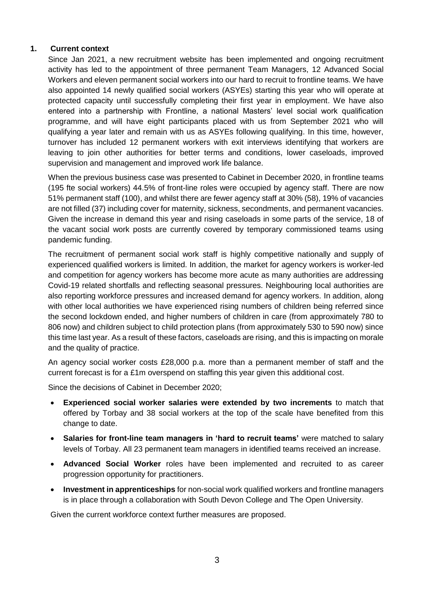#### **1. Current context**

Since Jan 2021, a new recruitment website has been implemented and ongoing recruitment activity has led to the appointment of three permanent Team Managers, 12 Advanced Social Workers and eleven permanent social workers into our hard to recruit to frontline teams. We have also appointed 14 newly qualified social workers (ASYEs) starting this year who will operate at protected capacity until successfully completing their first year in employment. We have also entered into a partnership with Frontline, a national Masters' level social work qualification programme, and will have eight participants placed with us from September 2021 who will qualifying a year later and remain with us as ASYEs following qualifying. In this time, however, turnover has included 12 permanent workers with exit interviews identifying that workers are leaving to join other authorities for better terms and conditions, lower caseloads, improved supervision and management and improved work life balance.

When the previous business case was presented to Cabinet in December 2020, in frontline teams (195 fte social workers) 44.5% of front-line roles were occupied by agency staff. There are now 51% permanent staff (100), and whilst there are fewer agency staff at 30% (58), 19% of vacancies are not filled (37) including cover for maternity, sickness, secondments, and permanent vacancies. Given the increase in demand this year and rising caseloads in some parts of the service, 18 of the vacant social work posts are currently covered by temporary commissioned teams using pandemic funding.

The recruitment of permanent social work staff is highly competitive nationally and supply of experienced qualified workers is limited. In addition, the market for agency workers is worker-led and competition for agency workers has become more acute as many authorities are addressing Covid-19 related shortfalls and reflecting seasonal pressures. Neighbouring local authorities are also reporting workforce pressures and increased demand for agency workers. In addition, along with other local authorities we have experienced rising numbers of children being referred since the second lockdown ended, and higher numbers of children in care (from approximately 780 to 806 now) and children subject to child protection plans (from approximately 530 to 590 now) since this time last year. As a result of these factors, caseloads are rising, and this is impacting on morale and the quality of practice.

An agency social worker costs £28,000 p.a. more than a permanent member of staff and the current forecast is for a £1m overspend on staffing this year given this additional cost.

Since the decisions of Cabinet in December 2020;

- **Experienced social worker salaries were extended by two increments** to match that offered by Torbay and 38 social workers at the top of the scale have benefited from this change to date.
- **Salaries for front-line team managers in 'hard to recruit teams'** were matched to salary levels of Torbay. All 23 permanent team managers in identified teams received an increase.
- **Advanced Social Worker** roles have been implemented and recruited to as career progression opportunity for practitioners.
- **Investment in apprenticeships** for non-social work qualified workers and frontline managers is in place through a collaboration with South Devon College and The Open University.

Given the current workforce context further measures are proposed.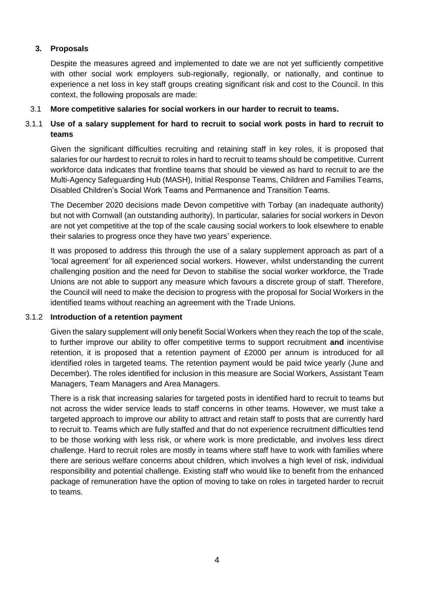### **3. Proposals**

Despite the measures agreed and implemented to date we are not yet sufficiently competitive with other social work employers sub-regionally, regionally, or nationally, and continue to experience a net loss in key staff groups creating significant risk and cost to the Council. In this context, the following proposals are made:

#### 3.1 **More competitive salaries for social workers in our harder to recruit to teams.**

### 3.1.1 **Use of a salary supplement for hard to recruit to social work posts in hard to recruit to teams**

Given the significant difficulties recruiting and retaining staff in key roles, it is proposed that salaries for our hardest to recruit to roles in hard to recruit to teams should be competitive. Current workforce data indicates that frontline teams that should be viewed as hard to recruit to are the Multi-Agency Safeguarding Hub (MASH), Initial Response Teams, Children and Families Teams, Disabled Children's Social Work Teams and Permanence and Transition Teams.

The December 2020 decisions made Devon competitive with Torbay (an inadequate authority) but not with Cornwall (an outstanding authority). In particular, salaries for social workers in Devon are not yet competitive at the top of the scale causing social workers to look elsewhere to enable their salaries to progress once they have two years' experience.

It was proposed to address this through the use of a salary supplement approach as part of a 'local agreement' for all experienced social workers. However, whilst understanding the current challenging position and the need for Devon to stabilise the social worker workforce, the Trade Unions are not able to support any measure which favours a discrete group of staff. Therefore, the Council will need to make the decision to progress with the proposal for Social Workers in the identified teams without reaching an agreement with the Trade Unions.

#### 3.1.2 **Introduction of a retention payment**

Given the salary supplement will only benefit Social Workers when they reach the top of the scale, to further improve our ability to offer competitive terms to support recruitment **and** incentivise retention, it is proposed that a retention payment of £2000 per annum is introduced for all identified roles in targeted teams. The retention payment would be paid twice yearly (June and December). The roles identified for inclusion in this measure are Social Workers, Assistant Team Managers, Team Managers and Area Managers.

There is a risk that increasing salaries for targeted posts in identified hard to recruit to teams but not across the wider service leads to staff concerns in other teams. However, we must take a targeted approach to improve our ability to attract and retain staff to posts that are currently hard to recruit to. Teams which are fully staffed and that do not experience recruitment difficulties tend to be those working with less risk, or where work is more predictable, and involves less direct challenge. Hard to recruit roles are mostly in teams where staff have to work with families where there are serious welfare concerns about children, which involves a high level of risk, individual responsibility and potential challenge. Existing staff who would like to benefit from the enhanced package of remuneration have the option of moving to take on roles in targeted harder to recruit to teams.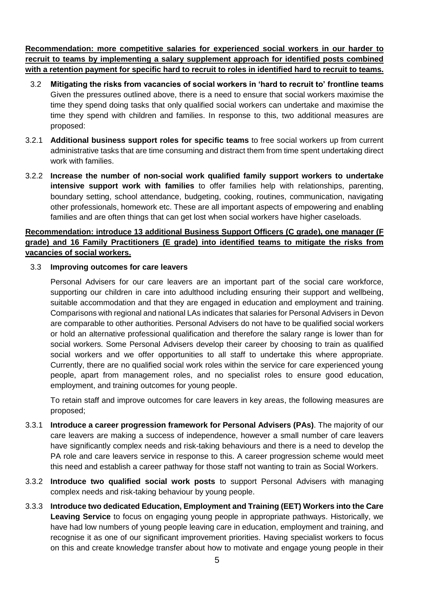**Recommendation: more competitive salaries for experienced social workers in our harder to recruit to teams by implementing a salary supplement approach for identified posts combined with a retention payment for specific hard to recruit to roles in identified hard to recruit to teams.**

- 3.2 **Mitigating the risks from vacancies of social workers in 'hard to recruit to' frontline teams** Given the pressures outlined above, there is a need to ensure that social workers maximise the time they spend doing tasks that only qualified social workers can undertake and maximise the time they spend with children and families. In response to this, two additional measures are proposed:
- 3.2.1 **Additional business support roles for specific teams** to free social workers up from current administrative tasks that are time consuming and distract them from time spent undertaking direct work with families.
- 3.2.2 **Increase the number of non-social work qualified family support workers to undertake intensive support work with families** to offer families help with relationships, parenting, boundary setting, school attendance, budgeting, cooking, routines, communication, navigating other professionals, homework etc. These are all important aspects of empowering and enabling families and are often things that can get lost when social workers have higher caseloads.

# **Recommendation: introduce 13 additional Business Support Officers (C grade), one manager (F grade) and 16 Family Practitioners (E grade) into identified teams to mitigate the risks from vacancies of social workers.**

#### 3.3 **Improving outcomes for care leavers**

Personal Advisers for our care leavers are an important part of the social care workforce, supporting our children in care into adulthood including ensuring their support and wellbeing, suitable accommodation and that they are engaged in education and employment and training. Comparisons with regional and national LAs indicates that salaries for Personal Advisers in Devon are comparable to other authorities. Personal Advisers do not have to be qualified social workers or hold an alternative professional qualification and therefore the salary range is lower than for social workers. Some Personal Advisers develop their career by choosing to train as qualified social workers and we offer opportunities to all staff to undertake this where appropriate. Currently, there are no qualified social work roles within the service for care experienced young people, apart from management roles, and no specialist roles to ensure good education, employment, and training outcomes for young people.

To retain staff and improve outcomes for care leavers in key areas, the following measures are proposed;

- 3.3.1 **Introduce a career progression framework for Personal Advisers (PAs)**. The majority of our care leavers are making a success of independence, however a small number of care leavers have significantly complex needs and risk-taking behaviours and there is a need to develop the PA role and care leavers service in response to this. A career progression scheme would meet this need and establish a career pathway for those staff not wanting to train as Social Workers.
- 3.3.2 **Introduce two qualified social work posts** to support Personal Advisers with managing complex needs and risk-taking behaviour by young people.
- 3.3.3 **Introduce two dedicated Education, Employment and Training (EET) Workers into the Care Leaving Service** to focus on engaging young people in appropriate pathways. Historically, we have had low numbers of young people leaving care in education, employment and training, and recognise it as one of our significant improvement priorities. Having specialist workers to focus on this and create knowledge transfer about how to motivate and engage young people in their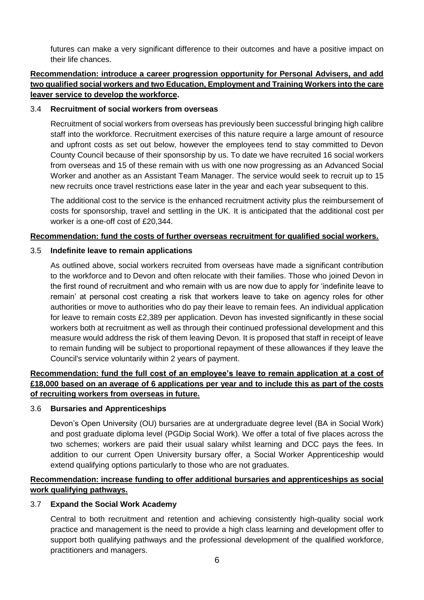futures can make a very significant difference to their outcomes and have a positive impact on their life chances.

# **Recommendation: introduce a career progression opportunity for Personal Advisers, and add two qualified social workers and two Education, Employment and Training Workers into the care leaver service to develop the workforce.**

#### 3.4 **Recruitment of social workers from overseas**

Recruitment of social workers from overseas has previously been successful bringing high calibre staff into the workforce. Recruitment exercises of this nature require a large amount of resource and upfront costs as set out below, however the employees tend to stay committed to Devon County Council because of their sponsorship by us. To date we have recruited 16 social workers from overseas and 15 of these remain with us with one now progressing as an Advanced Social Worker and another as an Assistant Team Manager. The service would seek to recruit up to 15 new recruits once travel restrictions ease later in the year and each year subsequent to this.

The additional cost to the service is the enhanced recruitment activity plus the reimbursement of costs for sponsorship, travel and settling in the UK. It is anticipated that the additional cost per worker is a one-off cost of £20,344.

#### **Recommendation: fund the costs of further overseas recruitment for qualified social workers.**

#### 3.5 **Indefinite leave to remain applications**

As outlined above, social workers recruited from overseas have made a significant contribution to the workforce and to Devon and often relocate with their families. Those who joined Devon in the first round of recruitment and who remain with us are now due to apply for 'indefinite leave to remain' at personal cost creating a risk that workers leave to take on agency roles for other authorities or move to authorities who do pay their leave to remain fees. An individual application for leave to remain costs £2,389 per application. Devon has invested significantly in these social workers both at recruitment as well as through their continued professional development and this measure would address the risk of them leaving Devon. It is proposed that staff in receipt of leave to remain funding will be subject to proportional repayment of these allowances if they leave the Council's service voluntarily within 2 years of payment.

# **Recommendation: fund the full cost of an employee's leave to remain application at a cost of £18,000 based on an average of 6 applications per year and to include this as part of the costs of recruiting workers from overseas in future.**

#### 3.6 **Bursaries and Apprenticeships**

Devon's Open University (OU) bursaries are at undergraduate degree level (BA in Social Work) and post graduate diploma level (PGDip Social Work). We offer a total of five places across the two schemes; workers are paid their usual salary whilst learning and DCC pays the fees. In addition to our current Open University bursary offer, a Social Worker Apprenticeship would extend qualifying options particularly to those who are not graduates.

# **Recommendation: increase funding to offer additional bursaries and apprenticeships as social work qualifying pathways.**

### 3.7 **Expand the Social Work Academy**

Central to both recruitment and retention and achieving consistently high-quality social work practice and management is the need to provide a high class learning and development offer to support both qualifying pathways and the professional development of the qualified workforce, practitioners and managers.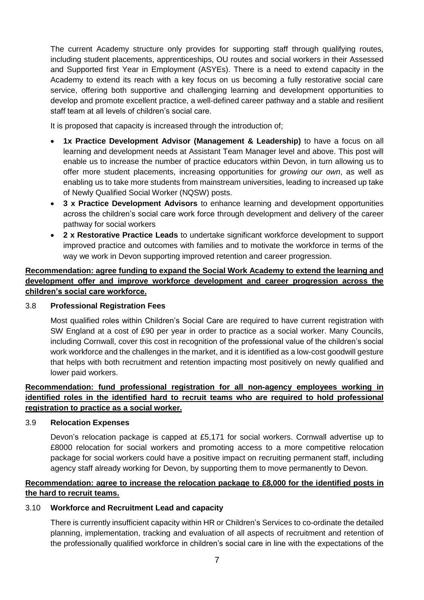The current Academy structure only provides for supporting staff through qualifying routes, including student placements, apprenticeships, OU routes and social workers in their Assessed and Supported first Year in Employment (ASYEs). There is a need to extend capacity in the Academy to extend its reach with a key focus on us becoming a fully restorative social care service, offering both supportive and challenging learning and development opportunities to develop and promote excellent practice, a well-defined career pathway and a stable and resilient staff team at all levels of children's social care.

It is proposed that capacity is increased through the introduction of:

- **1x Practice Development Advisor (Management & Leadership)** to have a focus on all learning and development needs at Assistant Team Manager level and above. This post will enable us to increase the number of practice educators within Devon, in turn allowing us to offer more student placements, increasing opportunities for *growing our own*, as well as enabling us to take more students from mainstream universities, leading to increased up take of Newly Qualified Social Worker (NQSW) posts.
- **3 x Practice Development Advisors** to enhance learning and development opportunities across the children's social care work force through development and delivery of the career pathway for social workers
- **2 x Restorative Practice Leads** to undertake significant workforce development to support improved practice and outcomes with families and to motivate the workforce in terms of the way we work in Devon supporting improved retention and career progression.

# **Recommendation: agree funding to expand the Social Work Academy to extend the learning and development offer and improve workforce development and career progression across the children's social care workforce.**

#### 3.8 **Professional Registration Fees**

Most qualified roles within Children's Social Care are required to have current registration with SW England at a cost of £90 per year in order to practice as a social worker. Many Councils, including Cornwall, cover this cost in recognition of the professional value of the children's social work workforce and the challenges in the market, and it is identified as a low-cost goodwill gesture that helps with both recruitment and retention impacting most positively on newly qualified and lower paid workers.

### **Recommendation: fund professional registration for all non-agency employees working in identified roles in the identified hard to recruit teams who are required to hold professional registration to practice as a social worker.**

#### 3.9 **Relocation Expenses**

Devon's relocation package is capped at £5,171 for social workers. Cornwall advertise up to £8000 relocation for social workers and promoting access to a more competitive relocation package for social workers could have a positive impact on recruiting permanent staff, including agency staff already working for Devon, by supporting them to move permanently to Devon.

### **Recommendation: agree to increase the relocation package to £8,000 for the identified posts in the hard to recruit teams.**

### 3.10 **Workforce and Recruitment Lead and capacity**

There is currently insufficient capacity within HR or Children's Services to co-ordinate the detailed planning, implementation, tracking and evaluation of all aspects of recruitment and retention of the professionally qualified workforce in children's social care in line with the expectations of the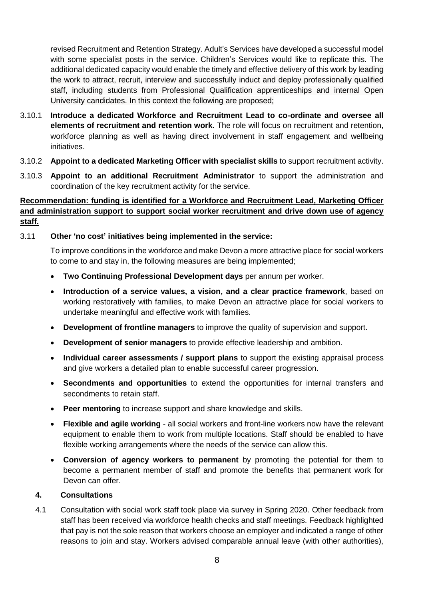revised Recruitment and Retention Strategy. Adult's Services have developed a successful model with some specialist posts in the service. Children's Services would like to replicate this. The additional dedicated capacity would enable the timely and effective delivery of this work by leading the work to attract, recruit, interview and successfully induct and deploy professionally qualified staff, including students from Professional Qualification apprenticeships and internal Open University candidates. In this context the following are proposed;

- 3.10.1 **Introduce a dedicated Workforce and Recruitment Lead to co-ordinate and oversee all elements of recruitment and retention work.** The role will focus on recruitment and retention, workforce planning as well as having direct involvement in staff engagement and wellbeing initiatives.
- 3.10.2 **Appoint to a dedicated Marketing Officer with specialist skills** to support recruitment activity.
- 3.10.3 **Appoint to an additional Recruitment Administrator** to support the administration and coordination of the key recruitment activity for the service.

# **Recommendation: funding is identified for a Workforce and Recruitment Lead, Marketing Officer and administration support to support social worker recruitment and drive down use of agency staff.**

### 3.11 **Other 'no cost' initiatives being implemented in the service:**

To improve conditions in the workforce and make Devon a more attractive place for social workers to come to and stay in, the following measures are being implemented;

- **Two Continuing Professional Development days** per annum per worker.
- **Introduction of a service values, a vision, and a clear practice framework**, based on working restoratively with families, to make Devon an attractive place for social workers to undertake meaningful and effective work with families.
- **Development of frontline managers** to improve the quality of supervision and support.
- **Development of senior managers** to provide effective leadership and ambition.
- **Individual career assessments / support plans** to support the existing appraisal process and give workers a detailed plan to enable successful career progression.
- **Secondments and opportunities** to extend the opportunities for internal transfers and secondments to retain staff.
- **Peer mentoring** to increase support and share knowledge and skills.
- **Flexible and agile working** all social workers and front-line workers now have the relevant equipment to enable them to work from multiple locations. Staff should be enabled to have flexible working arrangements where the needs of the service can allow this.
- **Conversion of agency workers to permanent** by promoting the potential for them to become a permanent member of staff and promote the benefits that permanent work for Devon can offer.

### **4. Consultations**

4.1 Consultation with social work staff took place via survey in Spring 2020. Other feedback from staff has been received via workforce health checks and staff meetings. Feedback highlighted that pay is not the sole reason that workers choose an employer and indicated a range of other reasons to join and stay. Workers advised comparable annual leave (with other authorities),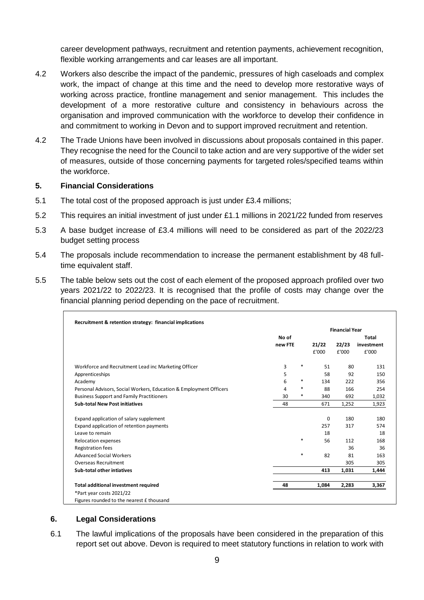career development pathways, recruitment and retention payments, achievement recognition, flexible working arrangements and car leases are all important.

- 4.2 Workers also describe the impact of the pandemic, pressures of high caseloads and complex work, the impact of change at this time and the need to develop more restorative ways of working across practice, frontline management and senior management. This includes the development of a more restorative culture and consistency in behaviours across the organisation and improved communication with the workforce to develop their confidence in and commitment to working in Devon and to support improved recruitment and retention.
- 4.2 The Trade Unions have been involved in discussions about proposals contained in this paper. They recognise the need for the Council to take action and are very supportive of the wider set of measures, outside of those concerning payments for targeted roles/specified teams within the workforce.

#### **5. Financial Considerations**

- 5.1 The total cost of the proposed approach is just under £3.4 millions;
- 5.2 This requires an initial investment of just under £1.1 millions in 2021/22 funded from reserves
- 5.3 A base budget increase of £3.4 millions will need to be considered as part of the 2022/23 budget setting process
- 5.4 The proposals include recommendation to increase the permanent establishment by 48 fulltime equivalent staff.
- 5.5 The table below sets out the cost of each element of the proposed approach profiled over two years 2021/22 to 2022/23. It is recognised that the profile of costs may change over the financial planning period depending on the pace of recruitment.

|                                                                    |         |        | <b>Financial Year</b> |       |            |  |
|--------------------------------------------------------------------|---------|--------|-----------------------|-------|------------|--|
|                                                                    | No of   |        |                       |       | Total      |  |
|                                                                    | new FTE |        | 21/22                 | 22/23 | investment |  |
|                                                                    |         |        | £'000                 | £'000 | £'000      |  |
| Workforce and Recruitment Lead inc Marketing Officer               | 3       | $\ast$ | 51                    | 80    | 131        |  |
| Apprenticeships                                                    | 5       |        | 58                    | 92    | 150        |  |
| Academy                                                            | 6       | *      | 134                   | 222   | 356        |  |
| Personal Advisors, Social Workers, Education & Employment Officers | 4       | $\ast$ | 88                    | 166   | 254        |  |
| <b>Business Support and Family Practitioners</b>                   | 30      | $\ast$ | 340                   | 692   | 1,032      |  |
| <b>Sub-total New Post initiatives</b>                              | 48      |        | 671                   | 1,252 | 1,923      |  |
| Expand application of salary supplement                            |         |        | 0                     | 180   | 180        |  |
| Expand application of retention payments                           |         |        | 257                   | 317   | 574        |  |
| Leave to remain                                                    |         |        | 18                    |       | 18         |  |
| <b>Relocation expenses</b>                                         |         | $\ast$ | 56                    | 112   | 168        |  |
| <b>Registration fees</b>                                           |         |        |                       | 36    | 36         |  |
| <b>Advanced Social Workers</b>                                     |         | $\ast$ | 82                    | 81    | 163        |  |
| <b>Overseas Recruitment</b>                                        |         |        |                       | 305   | 305        |  |
| <b>Sub-total other intiatives</b>                                  |         |        | 413                   | 1,031 | 1,444      |  |
| Total additional investment required                               | 48      |        | 1,084                 | 2,283 | 3,367      |  |
| *Part year costs 2021/22                                           |         |        |                       |       |            |  |
| Figures rounded to the nearest £ thousand                          |         |        |                       |       |            |  |

#### **6. Legal Considerations**

6.1 The lawful implications of the proposals have been considered in the preparation of this report set out above. Devon is required to meet statutory functions in relation to work with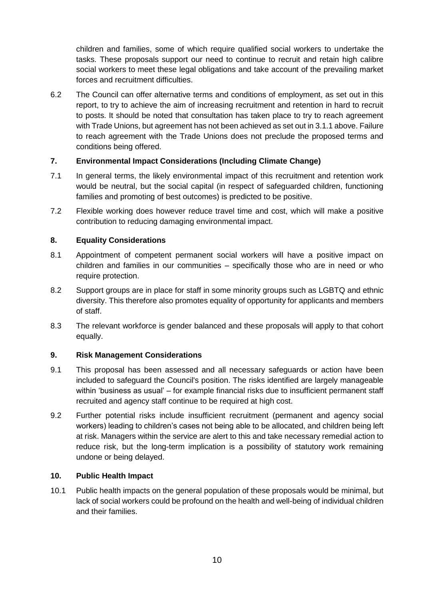children and families, some of which require qualified social workers to undertake the tasks. These proposals support our need to continue to recruit and retain high calibre social workers to meet these legal obligations and take account of the prevailing market forces and recruitment difficulties.

6.2 The Council can offer alternative terms and conditions of employment, as set out in this report, to try to achieve the aim of increasing recruitment and retention in hard to recruit to posts. It should be noted that consultation has taken place to try to reach agreement with Trade Unions, but agreement has not been achieved as set out in 3.1.1 above. Failure to reach agreement with the Trade Unions does not preclude the proposed terms and conditions being offered.

# **7. Environmental Impact Considerations (Including Climate Change)**

- 7.1 In general terms, the likely environmental impact of this recruitment and retention work would be neutral, but the social capital (in respect of safeguarded children, functioning families and promoting of best outcomes) is predicted to be positive.
- 7.2 Flexible working does however reduce travel time and cost, which will make a positive contribution to reducing damaging environmental impact.

# **8. Equality Considerations**

- 8.1 Appointment of competent permanent social workers will have a positive impact on children and families in our communities – specifically those who are in need or who require protection.
- 8.2 Support groups are in place for staff in some minority groups such as LGBTQ and ethnic diversity. This therefore also promotes equality of opportunity for applicants and members of staff.
- 8.3 The relevant workforce is gender balanced and these proposals will apply to that cohort equally.

### **9. Risk Management Considerations**

- 9.1 This proposal has been assessed and all necessary safeguards or action have been included to safeguard the Council's position. The risks identified are largely manageable within 'business as usual' – for example financial risks due to insufficient permanent staff recruited and agency staff continue to be required at high cost.
- 9.2 Further potential risks include insufficient recruitment (permanent and agency social workers) leading to children's cases not being able to be allocated, and children being left at risk. Managers within the service are alert to this and take necessary remedial action to reduce risk, but the long-term implication is a possibility of statutory work remaining undone or being delayed.

#### **10. Public Health Impact**

10.1 Public health impacts on the general population of these proposals would be minimal, but lack of social workers could be profound on the health and well-being of individual children and their families.